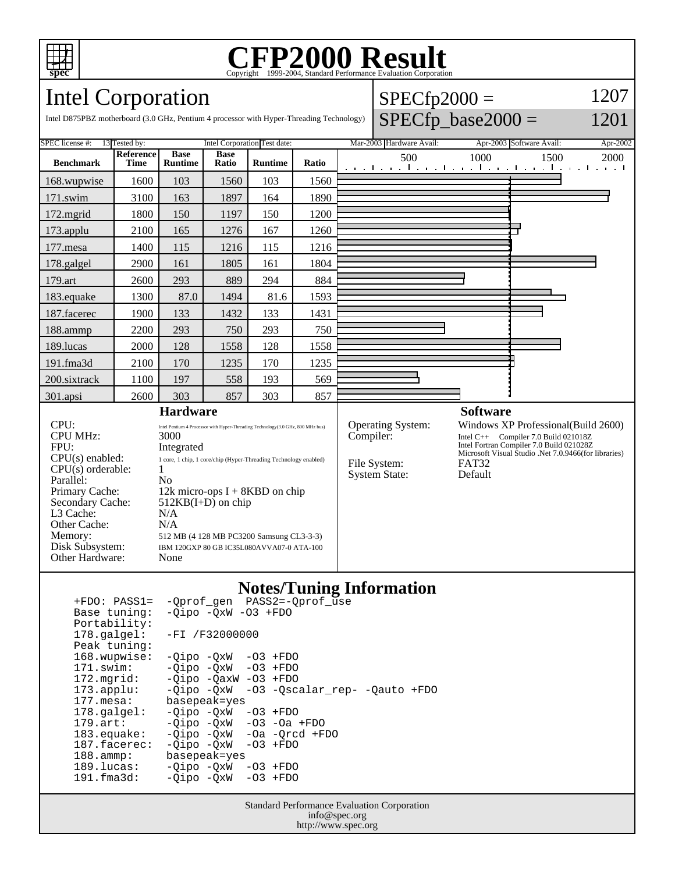

# Copyright ©1999-2004, Standard Performance Evaluation Corporation

 $SPECfp2000 =$ 

1207 1201

Intel Corporation

| Intel D875PBZ motherboard (3.0 GHz, Pentium 4 processor with Hyper-Threading Technology)                                                                                                                                                                                                                                                                                                                                                                                                                                                                                                                       |                                 |                               |                      |                |           |                                                                  |  |     |                                     | $SPECfp\_base2000 =$                                                                                                                                                             |                                              |      | 1201     |  |
|----------------------------------------------------------------------------------------------------------------------------------------------------------------------------------------------------------------------------------------------------------------------------------------------------------------------------------------------------------------------------------------------------------------------------------------------------------------------------------------------------------------------------------------------------------------------------------------------------------------|---------------------------------|-------------------------------|----------------------|----------------|-----------|------------------------------------------------------------------|--|-----|-------------------------------------|----------------------------------------------------------------------------------------------------------------------------------------------------------------------------------|----------------------------------------------|------|----------|--|
| SPEC license #:<br>13 Tested by:                                                                                                                                                                                                                                                                                                                                                                                                                                                                                                                                                                               |                                 | Intel Corporation Test date:  |                      |                |           | Mar-2003 Hardware Avail:                                         |  |     | Apr-2003 Software Avail:            |                                                                                                                                                                                  |                                              |      | Apr-2002 |  |
| <b>Benchmark</b>                                                                                                                                                                                                                                                                                                                                                                                                                                                                                                                                                                                               | <b>Reference</b><br><b>Time</b> | <b>Base</b><br><b>Runtime</b> | <b>Base</b><br>Ratio | <b>Runtime</b> | Ratio     |                                                                  |  | 500 |                                     | 1000                                                                                                                                                                             | الكوكا بمتكآ بتباعث كالجبجا بتباعث الجندانية | 1500 | 2000     |  |
| 168.wupwise                                                                                                                                                                                                                                                                                                                                                                                                                                                                                                                                                                                                    | 1600                            | 103                           | 1560                 | 103            | 1560      |                                                                  |  |     |                                     |                                                                                                                                                                                  |                                              |      |          |  |
| $171$ .swim                                                                                                                                                                                                                                                                                                                                                                                                                                                                                                                                                                                                    | 3100                            | 163                           | 1897                 | 164            | 1890      |                                                                  |  |     |                                     |                                                                                                                                                                                  |                                              |      |          |  |
| $172$ .mgrid                                                                                                                                                                                                                                                                                                                                                                                                                                                                                                                                                                                                   | 1800                            | 150                           | 1197                 | 150            | 1200      |                                                                  |  |     |                                     |                                                                                                                                                                                  |                                              |      |          |  |
| $173$ .applu                                                                                                                                                                                                                                                                                                                                                                                                                                                                                                                                                                                                   | 2100                            | 165                           | 1276                 | 167            | 1260      |                                                                  |  |     |                                     |                                                                                                                                                                                  |                                              |      |          |  |
| 177.mesa                                                                                                                                                                                                                                                                                                                                                                                                                                                                                                                                                                                                       | 1400                            | 115                           | 1216                 | 115            | 1216      |                                                                  |  |     |                                     |                                                                                                                                                                                  |                                              |      |          |  |
| 178.galgel                                                                                                                                                                                                                                                                                                                                                                                                                                                                                                                                                                                                     | 2900                            | 161                           | 1805                 | 161            | 1804      |                                                                  |  |     |                                     |                                                                                                                                                                                  |                                              |      |          |  |
| 179.art                                                                                                                                                                                                                                                                                                                                                                                                                                                                                                                                                                                                        | 2600                            | 293                           | 889                  | 294            | 884       |                                                                  |  |     |                                     |                                                                                                                                                                                  |                                              |      |          |  |
| 183.equake                                                                                                                                                                                                                                                                                                                                                                                                                                                                                                                                                                                                     | 1300                            | 87.0                          | 1494                 | 81.6           | 1593      |                                                                  |  |     |                                     |                                                                                                                                                                                  |                                              |      |          |  |
| 187.facerec                                                                                                                                                                                                                                                                                                                                                                                                                                                                                                                                                                                                    | 1900                            | 133                           | 1432                 | 133            | 1431      |                                                                  |  |     |                                     |                                                                                                                                                                                  |                                              |      |          |  |
| 188.ammp                                                                                                                                                                                                                                                                                                                                                                                                                                                                                                                                                                                                       | 2200                            | 293                           | 750                  | 293            | 750       |                                                                  |  |     |                                     |                                                                                                                                                                                  |                                              |      |          |  |
| 189.lucas                                                                                                                                                                                                                                                                                                                                                                                                                                                                                                                                                                                                      | 2000                            | 128                           | 1558                 | 128            | 1558      |                                                                  |  |     |                                     |                                                                                                                                                                                  |                                              |      |          |  |
| 191.fma3d                                                                                                                                                                                                                                                                                                                                                                                                                                                                                                                                                                                                      | 2100                            | 170                           | 1235                 | 170            | 1235      |                                                                  |  |     |                                     |                                                                                                                                                                                  |                                              |      |          |  |
| 200.sixtrack                                                                                                                                                                                                                                                                                                                                                                                                                                                                                                                                                                                                   | 1100                            | 197                           | 558                  | 193            | 569       |                                                                  |  |     |                                     |                                                                                                                                                                                  |                                              |      |          |  |
| 301.apsi                                                                                                                                                                                                                                                                                                                                                                                                                                                                                                                                                                                                       | 2600                            | 303                           | 857                  | 303            | 857       |                                                                  |  |     |                                     |                                                                                                                                                                                  |                                              |      |          |  |
| <b>Hardware</b><br>CPI:<br>Intel Pentium 4 Processor with Hyper-Threading Technology(3.0 GHz, 800 MHz bus)<br><b>CPU MHz:</b><br>3000<br>FPII:<br>Integrated<br>$CPU(s)$ enabled:<br>1 core, 1 chip, 1 core/chip (Hyper-Threading Technology enabled)<br>$\mathbf{1}$<br>$CPU(s)$ orderable:<br>Parallel:<br>No<br>Primary Cache:<br>12k micro-ops $I + 8KBD$ on chip<br>Secondary Cache:<br>$512KB(I+D)$ on chip<br>L3 Cache:<br>N/A<br>N/A<br>Other Cache:<br>Memory:<br>512 MB (4 128 MB PC3200 Samsung CL3-3-3)<br>Disk Subsystem:<br>IBM 120GXP 80 GB IC35L080AVVA07-0 ATA-100<br>Other Hardware:<br>None |                                 |                               |                      |                | Compiler: | <b>Operating System:</b><br>File System:<br><b>System State:</b> |  |     | <b>Software</b><br>FAT32<br>Default | Windows XP Professional (Build 2600)<br>Intel C++ Compiler 7.0 Build 021018Z<br>Intel Fortran Compiler 7.0 Build 021028Z<br>Microsoft Visual Studio .Net 7.0.9466(for libraries) |                                              |      |          |  |

#### **Notes/Tuning Information**

| $+FDO: PASS1=$        |                                   | -Oprof gen PASS2=-Oprof use   |
|-----------------------|-----------------------------------|-------------------------------|
| Base tuning:          | $-Oipo$ $-OxW$ $-O3$ $+FDO$       |                               |
| Portability:          |                                   |                               |
| 178.galgel:           | $-FI / F32000000$                 |                               |
| Peak tuning:          |                                   |                               |
| 168.wupwise:          | $-Oipo -OXW - O3 + FDO$           |                               |
| 171.swim:             | $-Oipo$ $-OxW$ $-O3$ $+FDO$       |                               |
| 172.mqrid:            | $-Oipo$ $-OaxW$ $-O3$ $+FDO$      |                               |
| $173.\text{applu}:$   | -Oipo -OxW                        | -03 -Qscalar rep- -Qauto +FDO |
| $177.\text{mesa}$ :   | basepeak=yes                      |                               |
| $178.\text{qalgel}$ : | -Oipo -OxW                        | $-03$ +FDO                    |
| $179.\text{art}$ :    | $-Oipo$ $-OxW$ $-O3$ $-Oa$ $+FDO$ |                               |
| $183$ . equake:       | -Oipo -OxW                        | $-Oa$ $-Orcd$ $+FDO$          |
| 187.facerec:          | -Oipo -OxW                        | $-03$ +FDO                    |
| $188.\text{amp}:$     | basepeak=yes                      |                               |
| $189.$ lucas:         | -Oipo -OxW                        | $-03$ +FDO                    |
| $191.f$ ma $3d$ :     | -Oipo -OxW                        | $-03$ +FDO                    |
|                       |                                   |                               |

Standard Performance Evaluation Corporation info@spec.org http://www.spec.org